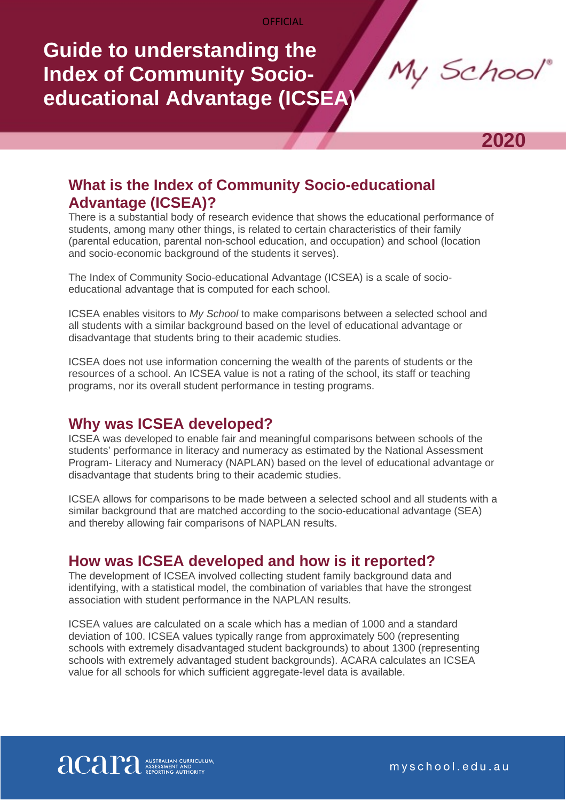**OFFICIAL** 

# **Guide to understanding the Index of Community Socioeducational Advantage (ICSEA)**

My School



# **What is the Index of Community Socio-educational Advantage (ICSEA)?**

There is a substantial body of research evidence that shows the educational performance of students, among many other things, is related to certain characteristics of their family (parental education, parental non-school education, and occupation) and school (location and socio-economic background of the students it serves).

The Index of Community Socio-educational Advantage (ICSEA) is a scale of socioeducational advantage that is computed for each school.

ICSEA enables visitors to *My School* to make comparisons between a selected school and all students with a similar background based on the level of educational advantage or disadvantage that students bring to their academic studies.

ICSEA does not use information concerning the wealth of the parents of students or the resources of a school. An ICSEA value is not a rating of the school, its staff or teaching programs, nor its overall student performance in testing programs.

### **Why was ICSEA developed?**

ICSEA was developed to enable fair and meaningful comparisons between schools of the students' performance in literacy and numeracy as estimated by the National Assessment Program- Literacy and Numeracy (NAPLAN) based on the level of educational advantage or disadvantage that students bring to their academic studies.

ICSEA allows for comparisons to be made between a selected school and all students with a similar background that are matched according to the socio-educational advantage (SEA) and thereby allowing fair comparisons of NAPLAN results.

### **How was ICSEA developed and how is it reported?**

The development of ICSEA involved collecting student family background data and identifying, with a statistical model, the combination of variables that have the strongest association with student performance in the NAPLAN results.

ICSEA values are calculated on a scale which has a median of 1000 and a standard deviation of 100. ICSEA values typically range from approximately 500 (representing schools with extremely disadvantaged student backgrounds) to about 1300 (representing schools with extremely advantaged student backgrounds). ACARA calculates an ICSEA value for all schools for which sufficient aggregate-level data is available.



myschool.edu.au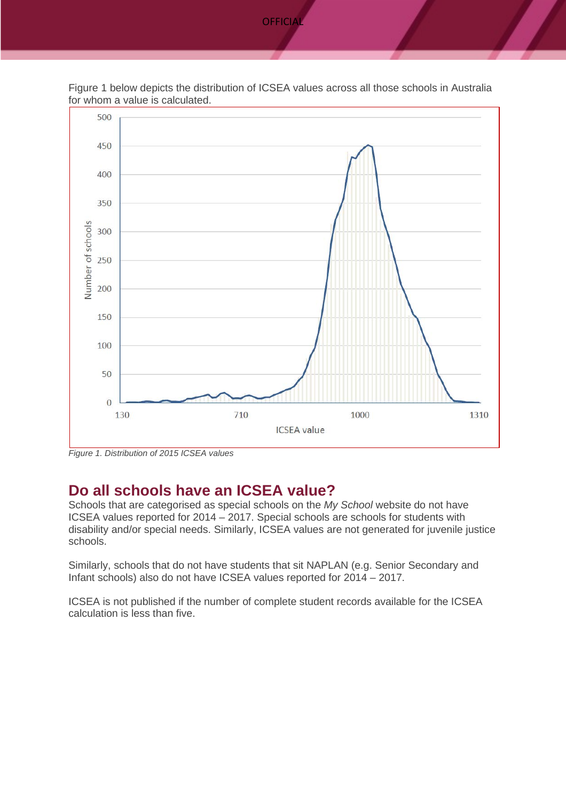

Figure 1 below depicts the distribution of ICSEA values across all those schools in Australia for whom a value is calculated.

*Figure 1. Distribution of 2015 ICSEA values*

### **Do all schools have an ICSEA value?**

Schools that are categorised as special schools on the *My School* website do not have ICSEA values reported for 2014 – 2017. Special schools are schools for students with disability and/or special needs. Similarly, ICSEA values are not generated for juvenile justice schools.

Similarly, schools that do not have students that sit NAPLAN (e.g. Senior Secondary and Infant schools) also do not have ICSEA values reported for 2014 – 2017.

ICSEA is not published if the number of complete student records available for the ICSEA calculation is less than five.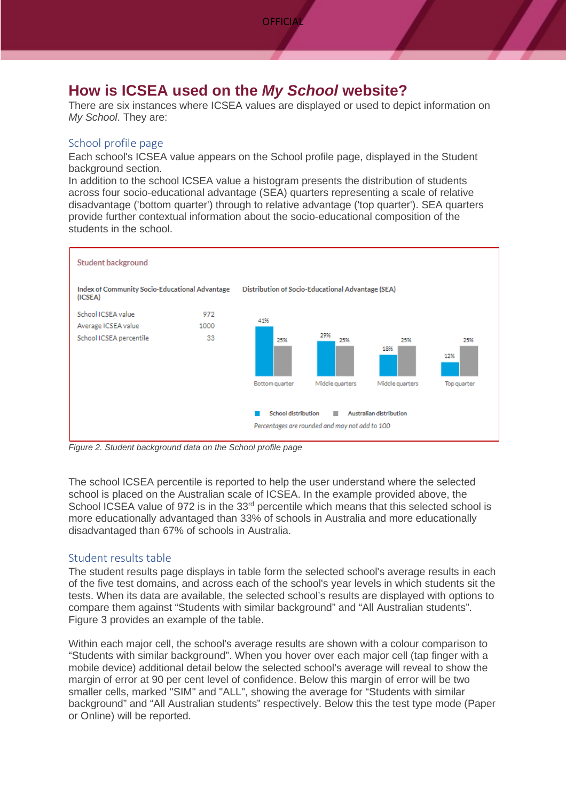### **How is ICSEA used on the** *My School* **website?**

There are six instances where ICSEA values are displayed or used to depict information on *My School*. They are:

### School profile page

Each school's ICSEA value appears on the School profile page, displayed in the Student background section.

In addition to the school ICSEA value a histogram presents the distribution of students across four socio-educational advantage (SEA) quarters representing a scale of relative disadvantage ('bottom quarter') through to relative advantage ('top quarter'). SEA quarters provide further contextual information about the socio-educational composition of the students in the school.



*Figure 2. Student background data on the School profile page*

The school ICSEA percentile is reported to help the user understand where the selected school is placed on the Australian scale of ICSEA. In the example provided above, the School ICSEA value of 972 is in the 33<sup>rd</sup> percentile which means that this selected school is more educationally advantaged than 33% of schools in Australia and more educationally disadvantaged than 67% of schools in Australia.

### Student results table

The student results page displays in table form the selected school's average results in each of the five test domains, and across each of the school's year levels in which students sit the tests. When its data are available, the selected school's results are displayed with options to compare them against "Students with similar background" and "All Australian students". Figure 3 provides an example of the table.

Within each major cell, the school's average results are shown with a colour comparison to "Students with similar background". When you hover over each major cell (tap finger with a mobile device) additional detail below the selected school's average will reveal to show the margin of error at 90 per cent level of confidence. Below this margin of error will be two smaller cells, marked "SIM" and "ALL", showing the average for "Students with similar background" and "All Australian students" respectively. Below this the test type mode (Paper or Online) will be reported.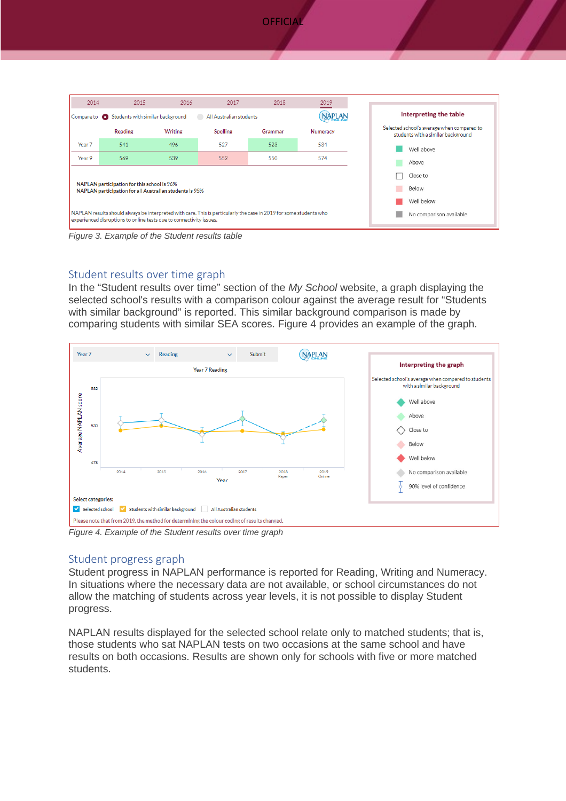



*Figure 3. Example of the Student results table*

### Student results over time graph

In the "Student results over time" section of the *My School* website, a graph displaying the selected school's results with a comparison colour against the average result for "Students with similar background" is reported. This similar background comparison is made by comparing students with similar SEA scores. Figure 4 provides an example of the graph.



*Figure 4. Example of the Student results over time graph*

### Student progress graph

Student progress in NAPLAN performance is reported for Reading, Writing and Numeracy. In situations where the necessary data are not available, or school circumstances do not allow the matching of students across year levels, it is not possible to display Student progress.

NAPLAN results displayed for the selected school relate only to matched students; that is, those students who sat NAPLAN tests on two occasions at the same school and have results on both occasions. Results are shown only for schools with five or more matched students.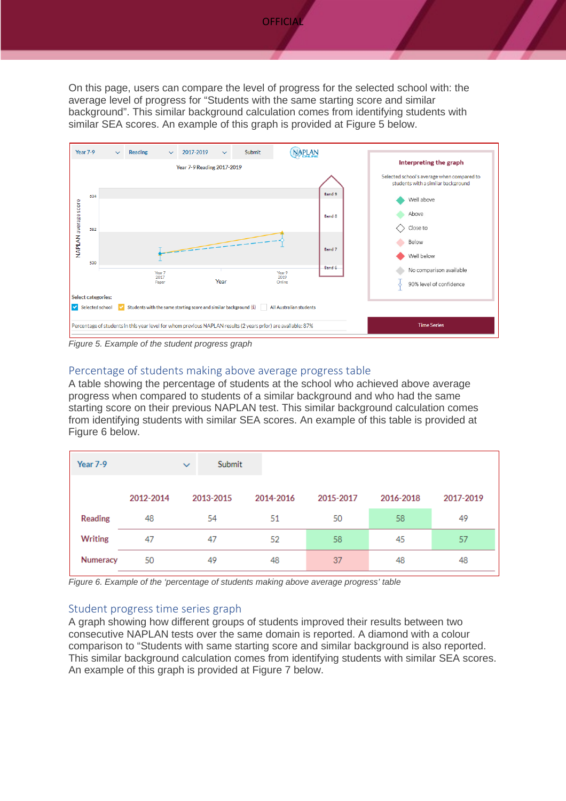On this page, users can compare the level of progress for the selected school with: the average level of progress for "Students with the same starting score and similar background". This similar background calculation comes from identifying students with similar SEA scores. An example of this graph is provided at Figure 5 below.



*Figure 5. Example of the student progress graph*

#### Percentage of students making above average progress table

A table showing the percentage of students at the school who achieved above average progress when compared to students of a similar background and who had the same starting score on their previous NAPLAN test. This similar background calculation comes from identifying students with similar SEA scores. An example of this table is provided at Figure 6 below.

| Year 7-9       |           | Submit<br>$\checkmark$ |           |           |           |           |
|----------------|-----------|------------------------|-----------|-----------|-----------|-----------|
|                | 2012-2014 | 2013-2015              | 2014-2016 | 2015-2017 | 2016-2018 | 2017-2019 |
| <b>Reading</b> | 48        | 54                     | 51        | 50        | 58        | 49        |
| Writing        | 47        | 47                     | 52        | 58        | 45        | 57        |
| Numeracy       | 50        | 49                     | 48        | 37        | 48        | 48        |

*Figure 6. Example of the 'percentage of students making above average progress' table*

#### Student progress time series graph

A graph showing how different groups of students improved their results between two consecutive NAPLAN tests over the same domain is reported. A diamond with a colour comparison to "Students with same starting score and similar background is also reported. This similar background calculation comes from identifying students with similar SEA scores. An example of this graph is provided at Figure 7 below.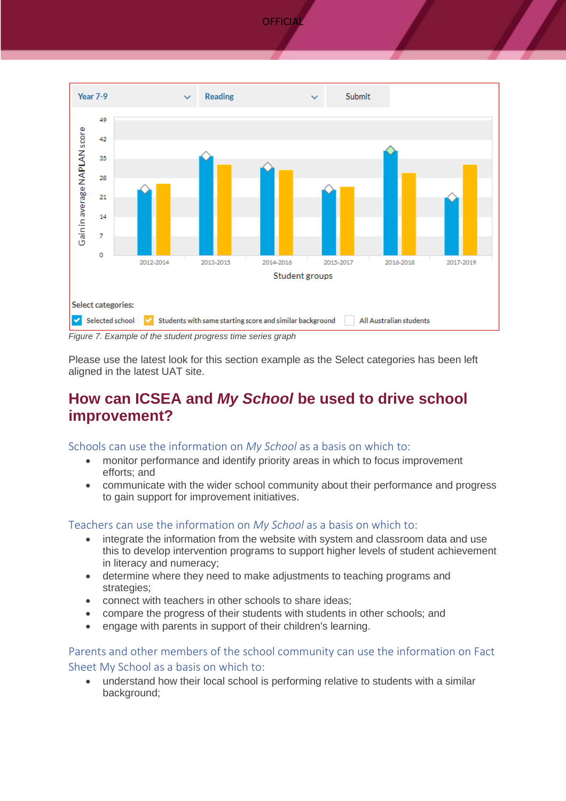



*Figure 7. Example of the student progress time series graph*

Please use the latest look for this section example as the Select categories has been left aligned in the latest UAT site.

### **How can ICSEA and** *My School* **be used to drive school improvement?**

Schools can use the information on *My School* as a basis on which to:

- monitor performance and identify priority areas in which to focus improvement efforts; and
- communicate with the wider school community about their performance and progress to gain support for improvement initiatives.

### Teachers can use the information on *My School* as a basis on which to:

- integrate the information from the website with system and classroom data and use this to develop intervention programs to support higher levels of student achievement in literacy and numeracy;
- determine where they need to make adjustments to teaching programs and strategies;
- connect with teachers in other schools to share ideas;
- compare the progress of their students with students in other schools; and
- engage with parents in support of their children's learning.

Parents and other members of the school community can use the information on Fact Sheet My School as a basis on which to:

• understand how their local school is performing relative to students with a similar background;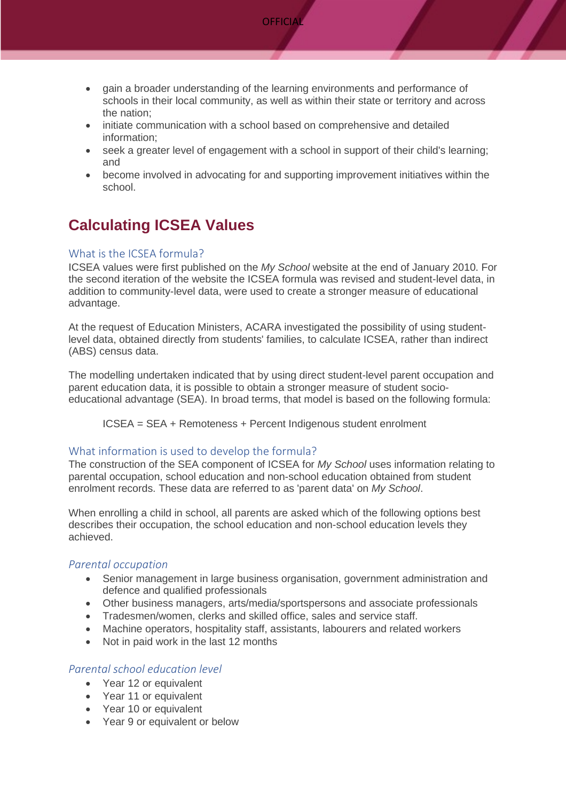

- gain a broader understanding of the learning environments and performance of schools in their local community, as well as within their state or territory and across the nation;
- initiate communication with a school based on comprehensive and detailed information;
- seek a greater level of engagement with a school in support of their child's learning; and
- become involved in advocating for and supporting improvement initiatives within the school.

# **Calculating ICSEA Values**

### What is the ICSEA formula?

ICSEA values were first published on the *My School* website at the end of January 2010. For the second iteration of the website the ICSEA formula was revised and student-level data, in addition to community-level data, were used to create a stronger measure of educational advantage.

At the request of Education Ministers, ACARA investigated the possibility of using studentlevel data, obtained directly from students' families, to calculate ICSEA, rather than indirect (ABS) census data.

The modelling undertaken indicated that by using direct student-level parent occupation and parent education data, it is possible to obtain a stronger measure of student socioeducational advantage (SEA). In broad terms, that model is based on the following formula:

ICSEA = SEA + Remoteness + Percent Indigenous student enrolment

### What information is used to develop the formula?

The construction of the SEA component of ICSEA for *My School* uses information relating to parental occupation, school education and non-school education obtained from student enrolment records. These data are referred to as 'parent data' on *My School*.

When enrolling a child in school, all parents are asked which of the following options best describes their occupation, the school education and non-school education levels they achieved.

### *Parental occupation*

- Senior management in large business organisation, government administration and defence and qualified professionals
- Other business managers, arts/media/sportspersons and associate professionals
- Tradesmen/women, clerks and skilled office, sales and service staff.
- Machine operators, hospitality staff, assistants, labourers and related workers
- Not in paid work in the last 12 months

### *Parental school education level*

- Year 12 or equivalent
- Year 11 or equivalent
- Year 10 or equivalent
- Year 9 or equivalent or below